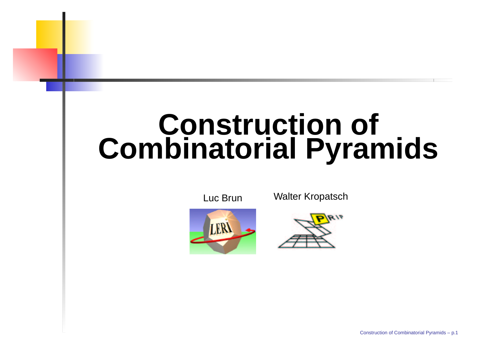# **Construction of Combinatorial Pyramids**

Luc Brun





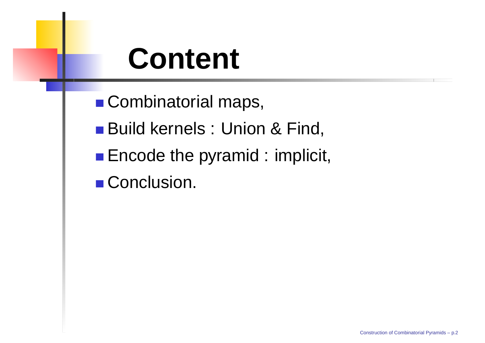# **Content**

■ Combinatorial maps,

Build kernels : Union & Find,

Encode the pyramid : implicit,

Conclusion.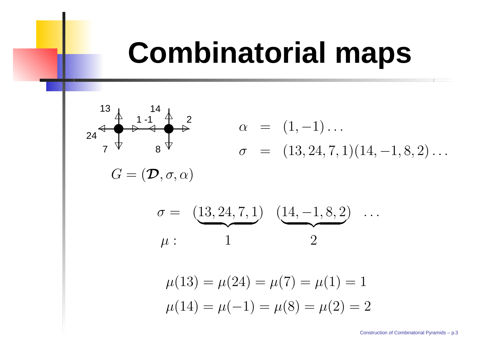# **Combinatorial maps**

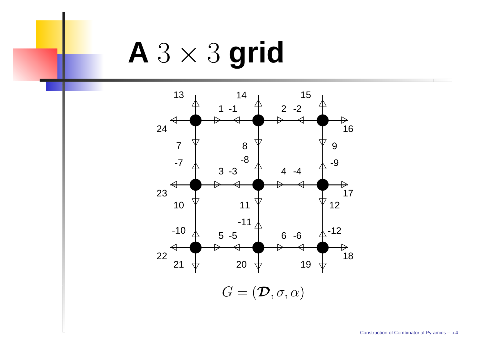# **A** 3 × 3 **grid**

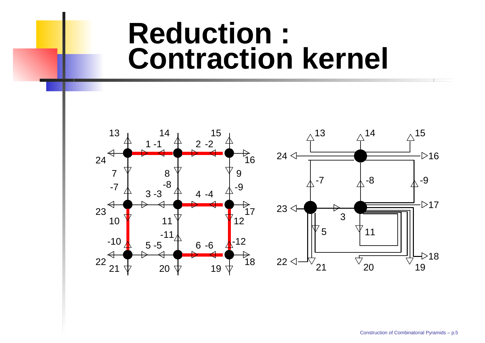### **Reduction : Contraction kernel**

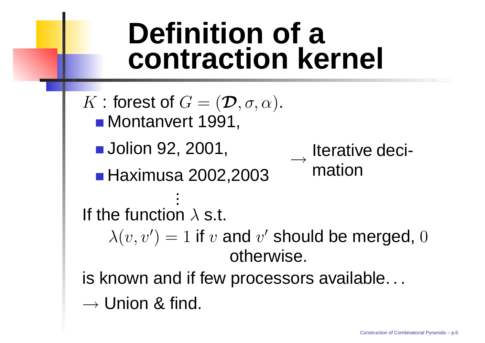# **Definition of a contraction kernel**

 $K$  : forest of  $G = (\mathcal{D}, \sigma, \alpha)$ . Montan ver t 1991, Jolion 92, 2001, Haximusa 2002,2003  $\longrightarrow$ Iterativ e decimationIf the function  $\lambda$  s.t.  $\lambda(v,v$  $\prime$ )  $=1$  if  $v$  and  $v$  $^{\prime}$  should be merged,  $0$ otherwise. is known and if few processors available...  $\rightarrow$  Union & find.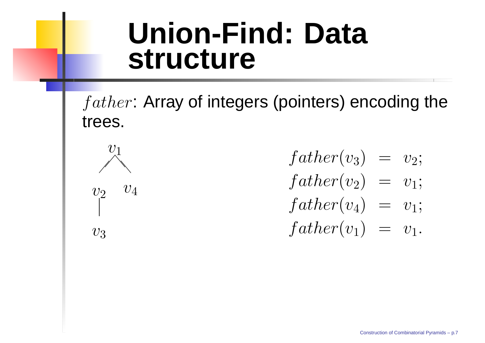### **Union-Find: Data structure**

 $father\colon$  Array of integers (pointers) encoding the trees.



 $father(v_3)$  $=$   $v_2;$  $father(v_2)$  $= v_1;$  $father(v_4)$  $= v_1;$  $father(v_1)$  $= \ \ v_1.$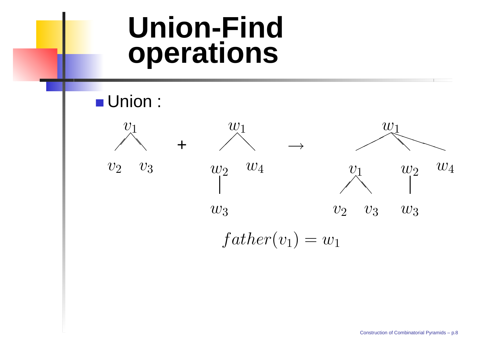### **Union-Find operations**

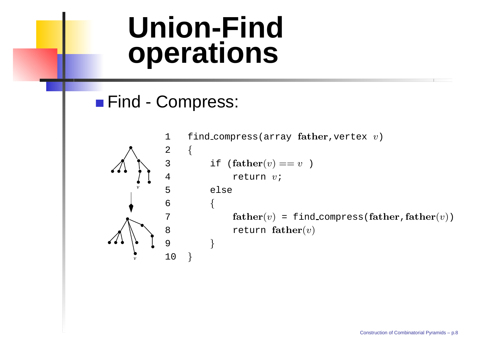## **Union-Find operations**

#### Find Compress:



```
1 \: find_compress(array {\bf father},vertex v)
3 if \textbf{father}(v) == v )
4 return v;
         else
        {
            father(v) = find\_compress(father,father(v))return father(v)}
```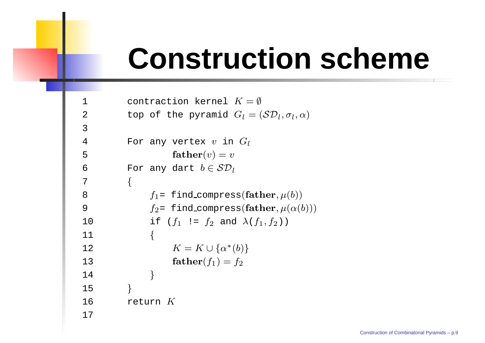# **Construction scheme**

```
11 contraction kernel K = \emptyset22 top of the pyramid G_l = (\mathcal{SD}_l, \sigma_l, \alpha)344 Tor any vertex v in G_l5\texttt{5} \qquad \qquad \textbf{father}(v) = v66           For any dart b \in \mathcal{SD}_l7\left\{ \right\}8
                f_1= find_compress(\mathbf{father}, \mu(b))9f_2= find_compress(\textbf{father}, \mu(\alpha(b)))100 if (f_1 := f_2 \text{ and } \lambda(f_1, f_2))11{
12K = K \cup \{ \alpha^*(b) \}133 father(f_1) = f_214}
15}
16 return
K17
```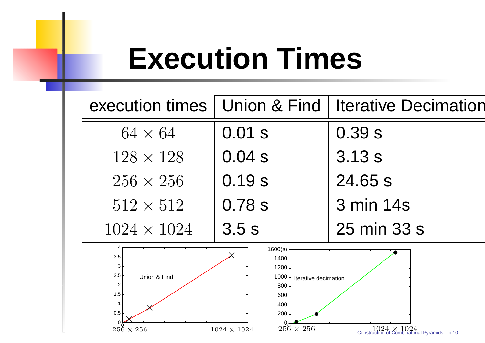# **Execution Times**

|                                                                                                                                                                                                                                                                              |          | execution times   Union & Find   Iterative Decimati |
|------------------------------------------------------------------------------------------------------------------------------------------------------------------------------------------------------------------------------------------------------------------------------|----------|-----------------------------------------------------|
| $64 \times 64$                                                                                                                                                                                                                                                               | $0.01$ s | 0.39s                                               |
| $128 \times 128$                                                                                                                                                                                                                                                             | 0.04s    | 3.13s                                               |
| $256 \times 256$                                                                                                                                                                                                                                                             | 0.19s    | 24.65 s                                             |
| $512 \times 512$                                                                                                                                                                                                                                                             | 0.78 s   | 3 min 14s                                           |
| $1024 \times 1024$                                                                                                                                                                                                                                                           | 3.5s     | 25 min 33 s                                         |
| 1600(s)<br>3.5<br>1400<br>3<br>1200<br>$2.5\,$<br>Union & Find<br>1000<br>Iterative decimation<br>2<br>800<br>1.5<br>600<br>$\mathbf{1}$<br>400<br>0.5<br>200<br>$256 \times 256$<br>$256 \times 256$<br>$1024 \times 1024$<br>Construction of Combinatorial Pyramids – p.10 |          |                                                     |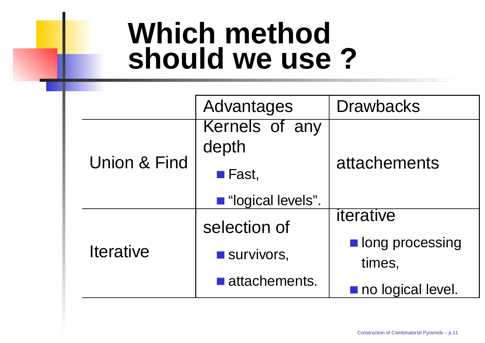# **Which method should we use ?**

|                  | Advantages                          | <b>Drawbacks</b>  |
|------------------|-------------------------------------|-------------------|
|                  | Kernels of any<br>depth             | attachements      |
| Union & Find     | $\blacksquare$ Fast,                |                   |
|                  | lacktriangleright "logical levels". |                   |
|                  | selection of                        | iterative         |
| <b>Iterative</b> | Survivors,                          | long processing   |
|                  |                                     | times,            |
|                  | $\blacksquare$ attachements.        | no logical level. |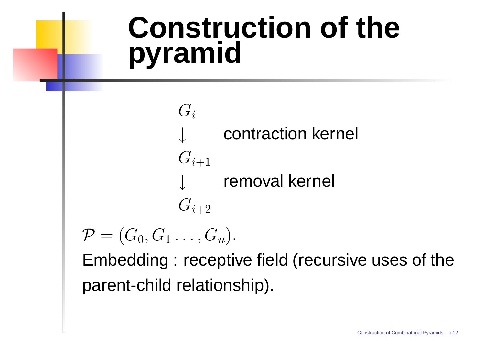# **Construction of the pyramid**

 $G_i$ ↓ contraction kernel  $G_{i+1}$ ↓ remo val kernel  $G_{i+2}$ 

 $\mathcal{P} = (G_0, G_1 \dots, G_n).$ 

Embedding : receptiv e field (recursiv e uses of the parent-child relationship).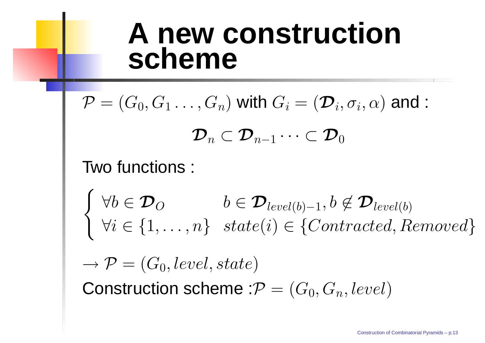### **A new construction scheme**

 $\mathcal{P} = (G_0, G_1 \dots, G_n)$  with  $G_i = (\mathcal{D}_i, \sigma_i, \alpha)$  and :  ${\mathcal D}_n \subset {\mathcal D}_{n-1} \cdots \subset {\mathcal D}_0$ Two functions :  $\begin{cases} \forall b \in \mathcal{D}_O & b \in \mathcal{D}_{level(b)-1}, b \notin \mathcal{D}_{level(b)} \\ \forall i \in \{1, \ldots, n\} & state(i) \in \{Contracted, Removed\} \end{cases}$  $\longrightarrow$  $\rightarrow \mathcal{P} = (G_0, level, state)$ Construction scheme : $\mathcal{P} = (G_0, G_n, level)$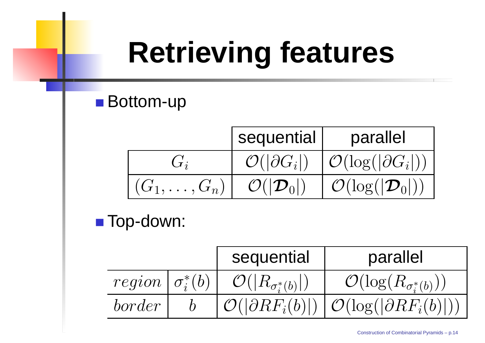# **Retrieving features**

### ■ Bottom-up

|                    | sequential                     | parallel                                  |
|--------------------|--------------------------------|-------------------------------------------|
|                    | $\mathcal{O}( \partial G_i )$  | $\mathcal{O}(\log( \partial G_i ))$       |
| $(G_1,\ldots,G_n)$ | $\mathcal{O}( \mathcal{D}_0 )$ | $\mid \mathcal{O}(\log( \mathcal{D}_0 ))$ |

■ Top-down:

|                          | sequential                         | parallel                                                                  |
|--------------------------|------------------------------------|---------------------------------------------------------------------------|
| $region   \sigma_i^*(b)$ | $\mathcal{O}( R_{\sigma_i^*(b)} )$ | $\mathcal{O}(\log(R_{\sigma_i^*(b)}))$                                    |
| border                   |                                    | $\mathcal{O}( \partial RF_i(b) )   \mathcal{O}(\log( \partial RF_i(b) ))$ |